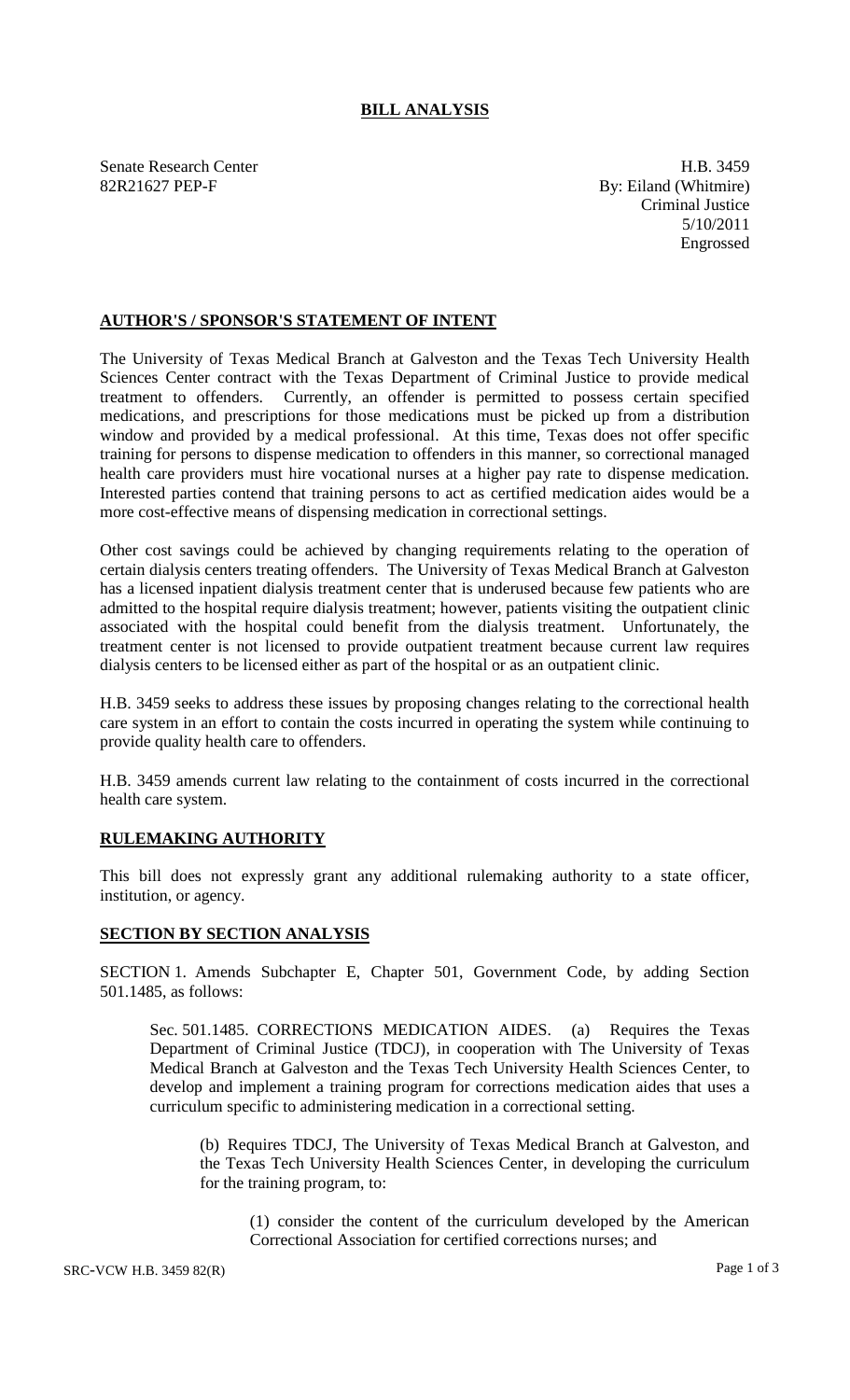## **BILL ANALYSIS**

Senate Research Center **H.B.** 3459 82R21627 PEP-F By: Eiland (Whitmire)

Criminal Justice 5/10/2011 Engrossed

## **AUTHOR'S / SPONSOR'S STATEMENT OF INTENT**

The University of Texas Medical Branch at Galveston and the Texas Tech University Health Sciences Center contract with the Texas Department of Criminal Justice to provide medical treatment to offenders. Currently, an offender is permitted to possess certain specified medications, and prescriptions for those medications must be picked up from a distribution window and provided by a medical professional. At this time, Texas does not offer specific training for persons to dispense medication to offenders in this manner, so correctional managed health care providers must hire vocational nurses at a higher pay rate to dispense medication. Interested parties contend that training persons to act as certified medication aides would be a more cost-effective means of dispensing medication in correctional settings.

Other cost savings could be achieved by changing requirements relating to the operation of certain dialysis centers treating offenders. The University of Texas Medical Branch at Galveston has a licensed inpatient dialysis treatment center that is underused because few patients who are admitted to the hospital require dialysis treatment; however, patients visiting the outpatient clinic associated with the hospital could benefit from the dialysis treatment. Unfortunately, the treatment center is not licensed to provide outpatient treatment because current law requires dialysis centers to be licensed either as part of the hospital or as an outpatient clinic.

H.B. 3459 seeks to address these issues by proposing changes relating to the correctional health care system in an effort to contain the costs incurred in operating the system while continuing to provide quality health care to offenders.

H.B. 3459 amends current law relating to the containment of costs incurred in the correctional health care system.

## **RULEMAKING AUTHORITY**

This bill does not expressly grant any additional rulemaking authority to a state officer, institution, or agency.

## **SECTION BY SECTION ANALYSIS**

SECTION 1. Amends Subchapter E, Chapter 501, Government Code, by adding Section 501.1485, as follows:

Sec. 501.1485. CORRECTIONS MEDICATION AIDES. (a) Requires the Texas Department of Criminal Justice (TDCJ), in cooperation with The University of Texas Medical Branch at Galveston and the Texas Tech University Health Sciences Center, to develop and implement a training program for corrections medication aides that uses a curriculum specific to administering medication in a correctional setting.

(b) Requires TDCJ, The University of Texas Medical Branch at Galveston, and the Texas Tech University Health Sciences Center, in developing the curriculum for the training program, to:

(1) consider the content of the curriculum developed by the American Correctional Association for certified corrections nurses; and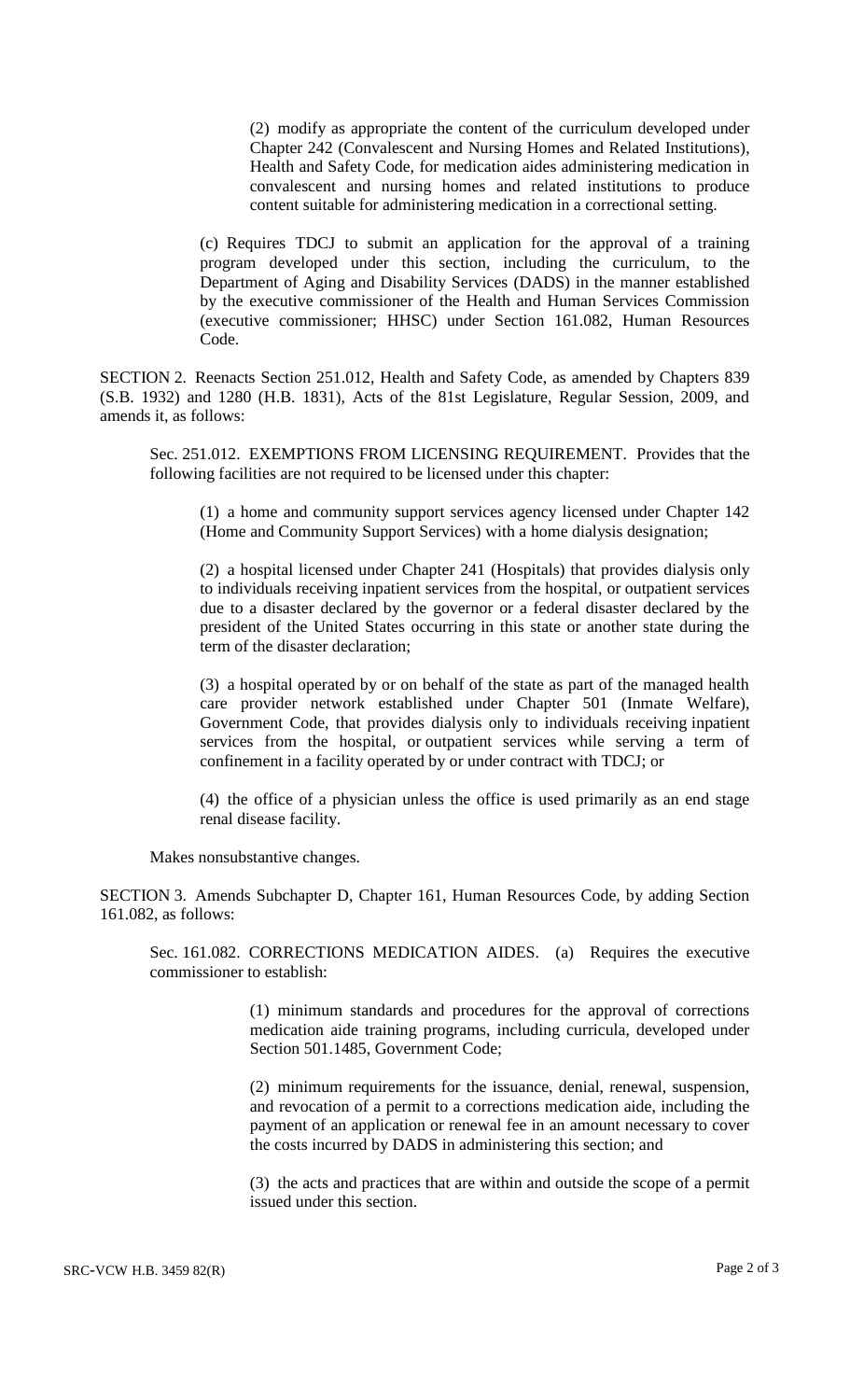(2) modify as appropriate the content of the curriculum developed under Chapter 242 (Convalescent and Nursing Homes and Related Institutions), Health and Safety Code, for medication aides administering medication in convalescent and nursing homes and related institutions to produce content suitable for administering medication in a correctional setting.

(c) Requires TDCJ to submit an application for the approval of a training program developed under this section, including the curriculum, to the Department of Aging and Disability Services (DADS) in the manner established by the executive commissioner of the Health and Human Services Commission (executive commissioner; HHSC) under Section 161.082, Human Resources Code.

SECTION 2. Reenacts Section 251.012, Health and Safety Code, as amended by Chapters 839 (S.B. 1932) and 1280 (H.B. 1831), Acts of the 81st Legislature, Regular Session, 2009, and amends it, as follows:

Sec. 251.012. EXEMPTIONS FROM LICENSING REQUIREMENT. Provides that the following facilities are not required to be licensed under this chapter:

(1) a home and community support services agency licensed under Chapter 142 (Home and Community Support Services) with a home dialysis designation;

(2) a hospital licensed under Chapter 241 (Hospitals) that provides dialysis only to individuals receiving inpatient services from the hospital, or outpatient services due to a disaster declared by the governor or a federal disaster declared by the president of the United States occurring in this state or another state during the term of the disaster declaration;

(3) a hospital operated by or on behalf of the state as part of the managed health care provider network established under Chapter 501 (Inmate Welfare), Government Code, that provides dialysis only to individuals receiving inpatient services from the hospital, or outpatient services while serving a term of confinement in a facility operated by or under contract with TDCJ; or

(4) the office of a physician unless the office is used primarily as an end stage renal disease facility.

Makes nonsubstantive changes.

SECTION 3. Amends Subchapter D, Chapter 161, Human Resources Code, by adding Section 161.082, as follows:

Sec. 161.082. CORRECTIONS MEDICATION AIDES. (a) Requires the executive commissioner to establish:

> (1) minimum standards and procedures for the approval of corrections medication aide training programs, including curricula, developed under Section 501.1485, Government Code;

> (2) minimum requirements for the issuance, denial, renewal, suspension, and revocation of a permit to a corrections medication aide, including the payment of an application or renewal fee in an amount necessary to cover the costs incurred by DADS in administering this section; and

> (3) the acts and practices that are within and outside the scope of a permit issued under this section.